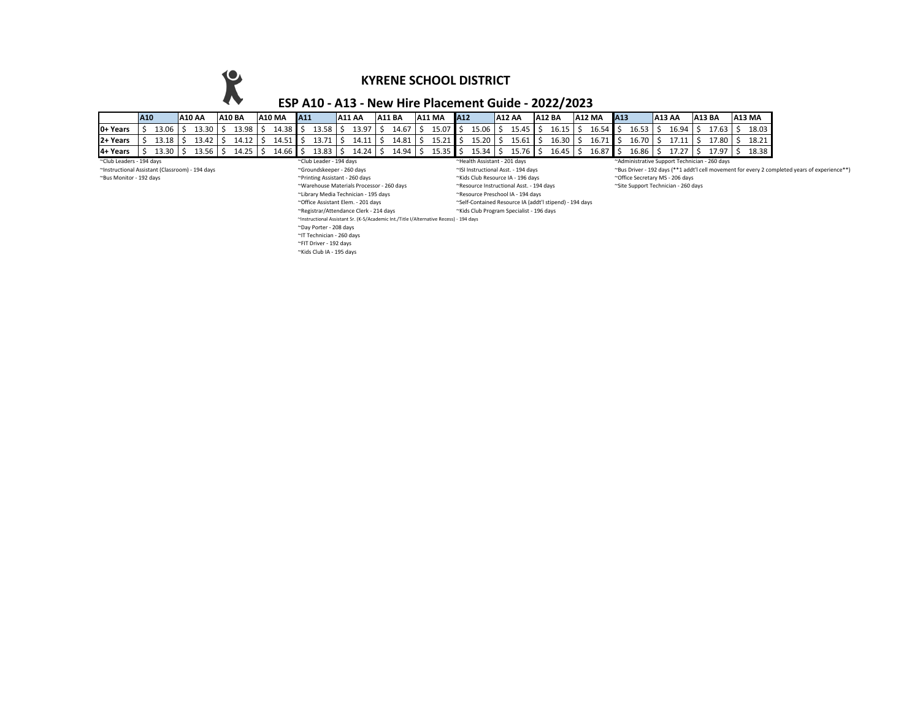**KYRENE SCHOOL DISTRICT**

## **ESP A10 - A13 - New Hire Placement Guide - 2022/2023**

|                                                     | A <sub>10</sub> |       |  | A10 AA | <b>A10 BA</b> | <b>A10 MA</b>                | A11 |       | A11 AA |  | <b>A11 BA</b> |  | <b>A11 MA</b>                                 | A12 |       |  | <b>A12 AA</b> | <b>A12 BA</b>   |  | <b>A12 MA</b> | A <sub>13</sub> |       |  | <b>A13 AA</b> |  | <b>A13 BA</b> | <b>A13 MA</b> |
|-----------------------------------------------------|-----------------|-------|--|--------|---------------|------------------------------|-----|-------|--------|--|---------------|--|-----------------------------------------------|-----|-------|--|---------------|-----------------|--|---------------|-----------------|-------|--|---------------|--|---------------|---------------|
| <b>IO+ Years</b>                                    |                 | 13.06 |  | 13.30  | 13.98         | 14.38                        |     | 13.58 | 13.97  |  | 14.67         |  | 15.07                                         |     | 15.06 |  | 15.45         | $16.15$ \$      |  | 16.54         |                 | 16.53 |  | 16.94         |  | 17.63         | 18.03         |
| <b>12+ Years</b>                                    |                 | 13.18 |  | 13.42  | 14.12         | 14.51                        |     | 13.71 | 14.11  |  | 14.81         |  | 15 71                                         |     | 15.20 |  | 15.61         | $16.30$ \$      |  | 16.71         |                 | 16.70 |  | 17.11         |  | 17.80         | 18.21         |
| 4+ Years                                            |                 | 13 3N |  | L3.56  | 14.25         | 14.66                        |     | 13.83 | 14.24  |  | 14.94         |  | 15.35                                         |     | 15.34 |  | 15.76         | $16.45 \mid$ \$ |  | 16.87         |                 | 16.86 |  | 17 77         |  | 1797          | 18.38         |
| ~Club Leaders - 194 days<br>~Club Leader - 194 days |                 |       |  |        |               | ~Health Assistant - 201 days |     |       |        |  |               |  | ~Administrative Support Technician - 260 days |     |       |  |               |                 |  |               |                 |       |  |               |  |               |               |

~Printing Assistant - 260 days and the secretary MS - 206 days ~ Monitor - 194 days ~ 194 days ~ 194 days ~ 19<br>~Karehouse Materials Processor - 260 days ~ 198 mesource Instructional Asst. - 194 days ~ 194 days ~ 196 the Su ~Warehouse Materials Processor - 260 days ~Resource Instructional Asst. - 194 days ~Site Support Technician - 260 days ~Library Media Technician - 195 days<br>~Office Assistant Elem. - 201 days ~Office Assistant Elem. - 201 days ~Self-Contained Resource IA (addt'l stipend) - 194 days ~Kids Club Program Specialist - 196 days ~Instructional Assistant Sr. (K-5/Academic Int./Title I/Alternative Recess) - 194 days ~Day Porter - 208 days ~IT Technician - 260 days ~FIT Driver - 192 days ~Kids Club IA - 195 days

~Instructional Assistant (Classroom) - 194 days ~Groundskeeper - 260 days ~ISI Instructional Asst. - 194 days ~Bus Driver - 192 days (\*\*1 addt'l cell movement for every 2 completed years of experience\*\*)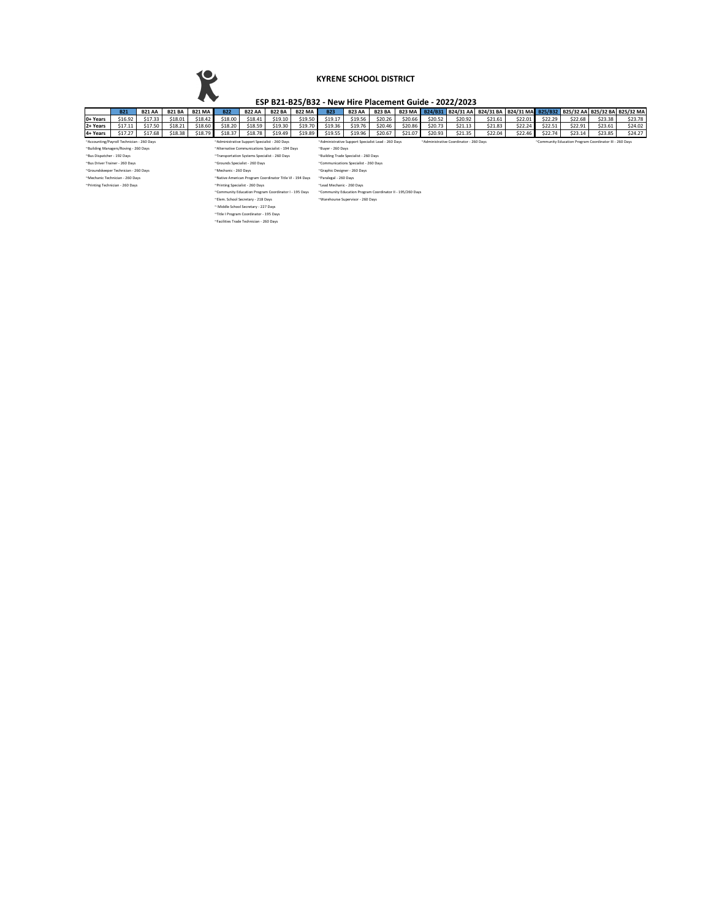# $\mathbf k$

#### **KYRENE SCHOOL DISTRICT**

## **ESP B21-B25/B32 - New Hire Placement Guide - 2022/2023**

|                                                                                             | <b>B21</b>                           | <b>B21 AA</b> | <b>B21 BA</b> | <b>B21 MA</b> | <b>B22</b>                                            | <b>B22 AA</b> | <b>B22 BA</b>                         | <b>B22 MA</b> | <b>B23</b>                                                                                   | <b>B23 AA</b> | <b>B23 BA</b> | <b>B23 MA</b> | B24/B31 | <b>B24/31 AA</b> |         | B24/31 BA B24/31 MA | B25/B32                                                 |         |         | B25/32 AA B25/32 BA B25/32 MA |  |
|---------------------------------------------------------------------------------------------|--------------------------------------|---------------|---------------|---------------|-------------------------------------------------------|---------------|---------------------------------------|---------------|----------------------------------------------------------------------------------------------|---------------|---------------|---------------|---------|------------------|---------|---------------------|---------------------------------------------------------|---------|---------|-------------------------------|--|
| 0+ Years                                                                                    | \$16.92                              | \$17.33       | \$18.01       | \$18.42       | \$18.00                                               | \$18.41       | \$19.10                               | \$19.50       | \$19.17                                                                                      | \$19.56       | \$20.26       | \$20.66       | \$20.52 | \$20.92          | \$21.61 | \$22.01             | \$22.29                                                 | \$22.68 | \$23.38 | \$23.78                       |  |
| 2+ Years                                                                                    | \$17.11                              | \$17.50       | \$18.21       | \$18.60       | \$18.20                                               | \$18.59       | \$19.30                               | \$19.70       | \$19.36                                                                                      | \$19.76       | \$20.46       | \$20.86       | \$20.73 | \$21.13          | \$21.83 | \$22.24             | \$22.51                                                 | \$22.91 | \$23.61 | \$24.02                       |  |
| 4+ Years                                                                                    | \$17.27                              | \$17.68       | \$18.38       | \$18.79       | \$18.37                                               | \$18.78       | \$19.49                               | \$19.89       | \$19.55                                                                                      | \$19.96       | \$20.67       | \$21.07       | \$20.93 | \$21.35          | \$22.04 | \$22.46             | \$22.74                                                 | \$23.14 | \$23.85 | \$24.27                       |  |
| ~Accounting/Payroll Technician - 260 Days                                                   |                                      |               |               |               | ~Administrative Support Specialist - 260 Days         |               |                                       |               | "Administrative Support Specialist Lead - 260 Days<br>~Administrative Coordinator - 260 Days |               |               |               |         |                  |         |                     | "Community Education Program Coordinator III - 260 Days |         |         |                               |  |
| ~Building Managers/Roving - 260 Days                                                        |                                      |               |               |               | "Alternative Communications Specialist - 194 Days     |               |                                       |               | ~Buyer - 260 Days                                                                            |               |               |               |         |                  |         |                     |                                                         |         |         |                               |  |
| ~Bus Dispatcher - 192 Days<br>~Transportation Systems Specialist - 260 Days                 |                                      |               |               |               |                                                       |               | "Building Trade Specialist - 260 Days |               |                                                                                              |               |               |               |         |                  |         |                     |                                                         |         |         |                               |  |
| ~Bus Driver Trainer - 260 Days                                                              |                                      |               |               |               | ~Grounds Specialist - 260 Days                        |               |                                       |               | "Communications Specialist - 260 Days                                                        |               |               |               |         |                  |         |                     |                                                         |         |         |                               |  |
|                                                                                             | ~Groundskeeper Technician - 260 Days |               |               |               | ~Mechanic - 260 Days                                  |               |                                       |               | "Graphic Designer - 260 Days                                                                 |               |               |               |         |                  |         |                     |                                                         |         |         |                               |  |
| ~Mechanic Technician - 260 Days<br>"Native American Program Coordinator Title VI - 194 Days |                                      |               |               |               |                                                       |               | ~Paralegal - 260 Days                 |               |                                                                                              |               |               |               |         |                  |         |                     |                                                         |         |         |                               |  |
| ~Printing Technician - 260 Days                                                             |                                      |               |               |               | ~Printing Specialist - 260 Days                       |               |                                       |               | ~Lead Mechanic - 260 Days                                                                    |               |               |               |         |                  |         |                     |                                                         |         |         |                               |  |
|                                                                                             |                                      |               |               |               | ~Community Education Program Coordinator I - 195 Days |               |                                       |               | "Community Education Program Coordinator II - 195/260 Days                                   |               |               |               |         |                  |         |                     |                                                         |         |         |                               |  |
|                                                                                             |                                      |               |               |               | ~Elem. School Secretary - 218 Days                    |               |                                       |               | "Warehourse Supervisor - 260 Days                                                            |               |               |               |         |                  |         |                     |                                                         |         |         |                               |  |
|                                                                                             |                                      |               |               |               | ~ Middle School Secretary - 227 Days                  |               |                                       |               |                                                                                              |               |               |               |         |                  |         |                     |                                                         |         |         |                               |  |
| "Title I Program Coordinator - 195 Days                                                     |                                      |               |               |               |                                                       |               |                                       |               |                                                                                              |               |               |               |         |                  |         |                     |                                                         |         |         |                               |  |
|                                                                                             |                                      |               |               |               | ~Facilities Trade Technician - 260 Days               |               |                                       |               |                                                                                              |               |               |               |         |                  |         |                     |                                                         |         |         |                               |  |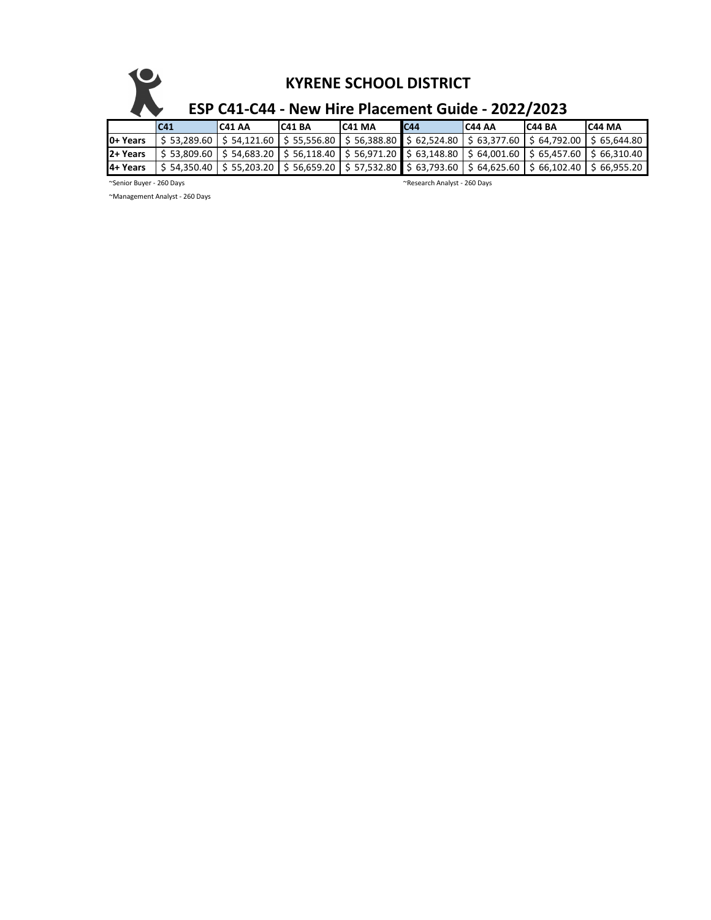|          | $\mathbf{\mathbf{\mathsf{U}}}$<br><b>KYRENE SCHOOL DISTRICT</b><br>ESP C41-C44 - New Hire Placement Guide - 2022/2023 |                                                                                                                                                                                                 |        |         |     |         |        |               |  |  |  |  |  |
|----------|-----------------------------------------------------------------------------------------------------------------------|-------------------------------------------------------------------------------------------------------------------------------------------------------------------------------------------------|--------|---------|-----|---------|--------|---------------|--|--|--|--|--|
|          | C <sub>41</sub>                                                                                                       | IC41 AA                                                                                                                                                                                         | C41 BA | IC41 MA | C44 | IC44 AA | C44 BA | <b>C44 MA</b> |  |  |  |  |  |
| 0+ Years |                                                                                                                       | $$53,289.60$   $$54,121.60$   $$55,556.80$   $$56,388.80$   $$62,524.80$   $$63,377.60$   $$64,792.00$                                                                                          |        |         |     |         |        | \$65.644.80   |  |  |  |  |  |
| 2+ Years |                                                                                                                       | $\frac{1}{2}$ 53,809.60 $\frac{1}{2}$ 54,683.20 $\frac{1}{2}$ 56,118.40 $\frac{1}{2}$ 56,971.20 $\frac{1}{2}$ 56,148.80 $\frac{1}{2}$ 64,001.60 $\frac{1}{2}$ 65,457.60 $\frac{1}{2}$ 66,310.40 |        |         |     |         |        |               |  |  |  |  |  |

4+ Years | \$ 54,350.40 | \$ 55,203.20 | \$ 56,659.20 | \$ 57,532.80 | \$ 63,793.60 | \$ 64,625.60 | \$ 66,102.40 | \$ 66,955.20

~Senior Buyer - 260 Days ~Research Analyst - 260 Days

~Management Analyst - 260 Days